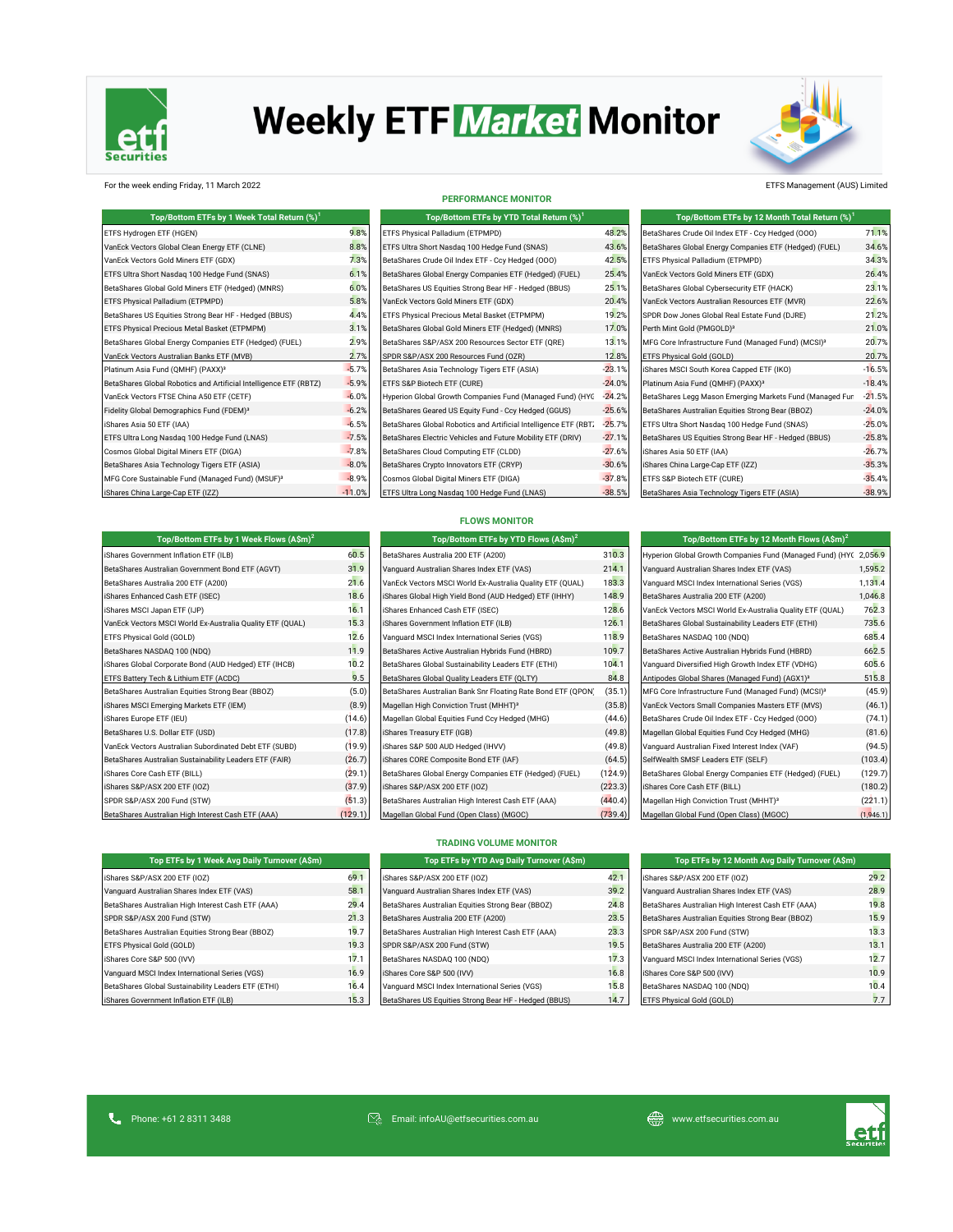

# **Weekly ETF Market Monitor**



### For the week ending Friday, 11 March 2022 ETFS Management (AUS) Limited

| Top/Bottom ETFs by 1 Week Total Return (%) <sup>1</sup>           |          | Top/Bottom ETFs by YTD Total Return (%) <sup>1</sup>             |          | Top/Bottom ETFs by 12 Month Total Return (%) <sup>1</sup>       |          |  |
|-------------------------------------------------------------------|----------|------------------------------------------------------------------|----------|-----------------------------------------------------------------|----------|--|
| ETFS Hydrogen ETF (HGEN)                                          | 9.8%     | ETFS Physical Palladium (ETPMPD)                                 | 48.2%    | BetaShares Crude Oil Index ETF - Ccy Hedged (000)               | 71.1%    |  |
| VanEck Vectors Global Clean Energy ETF (CLNE)                     | 8.8%     | ETFS Ultra Short Nasdaq 100 Hedge Fund (SNAS)                    | 43.6%    | BetaShares Global Energy Companies ETF (Hedged) (FUEL)          | 34.6%    |  |
| VanEck Vectors Gold Miners ETF (GDX)                              | 7.3%     | BetaShares Crude Oil Index ETF - Ccy Hedged (000)                | 42.5%    | ETFS Physical Palladium (ETPMPD)                                | 34.3%    |  |
| ETFS Ultra Short Nasdaq 100 Hedge Fund (SNAS)                     | 6.1%     | BetaShares Global Energy Companies ETF (Hedged) (FUEL)           | 25.4%    | VanEck Vectors Gold Miners ETF (GDX)                            | 26.4%    |  |
| BetaShares Global Gold Miners ETF (Hedged) (MNRS)                 | 6.0%     | BetaShares US Equities Strong Bear HF - Hedged (BBUS)            | 25.1%    | BetaShares Global Cybersecurity ETF (HACK)                      | 23.1%    |  |
| ETFS Physical Palladium (ETPMPD)                                  | 5.8%     | VanEck Vectors Gold Miners ETF (GDX)                             | 20.4%    | VanEck Vectors Australian Resources ETF (MVR)                   | 22.6%    |  |
| BetaShares US Equities Strong Bear HF - Hedged (BBUS)             | 4.4%     | ETFS Physical Precious Metal Basket (ETPMPM)                     | 19.2%    | SPDR Dow Jones Global Real Estate Fund (DJRE)                   | 21.2%    |  |
| ETFS Physical Precious Metal Basket (ETPMPM)                      | 3.1%     | BetaShares Global Gold Miners ETF (Hedged) (MNRS)                | 17.0%    | Perth Mint Gold (PMGOLD) <sup>3</sup>                           | 21.0%    |  |
| BetaShares Global Energy Companies ETF (Hedged) (FUEL)            | 2.9%     | BetaShares S&P/ASX 200 Resources Sector ETF (QRE)                | 13.1%    | MFG Core Infrastructure Fund (Managed Fund) (MCSI) <sup>3</sup> | 20.7%    |  |
| VanEck Vectors Australian Banks ETF (MVB)                         | 2.7%     | SPDR S&P/ASX 200 Resources Fund (OZR)                            | 12.8%    | ETFS Physical Gold (GOLD)                                       | 20.7%    |  |
| Platinum Asia Fund (QMHF) (PAXX) <sup>3</sup>                     | $-5.7%$  | BetaShares Asia Technology Tigers ETF (ASIA)                     | $-23.1%$ | iShares MSCI South Korea Capped ETF (IKO)                       | $-16.5%$ |  |
| BetaShares Global Robotics and Artificial Intelligence ETF (RBTZ) | $-5.9%$  | ETFS S&P Biotech ETF (CURE)                                      | $-24.0%$ | Platinum Asia Fund (QMHF) (PAXX) <sup>3</sup>                   | $-18.4%$ |  |
| VanEck Vectors FTSE China A50 ETF (CETF)                          | $-6.0%$  | Hyperion Global Growth Companies Fund (Managed Fund) (HYC        | $-24.2%$ | BetaShares Legg Mason Emerging Markets Fund (Managed Fun        | $-21.5%$ |  |
| Fidelity Global Demographics Fund (FDEM) <sup>3</sup>             | $-6.2%$  | BetaShares Geared US Equity Fund - Ccy Hedged (GGUS)             | $-25.6%$ | BetaShares Australian Equities Strong Bear (BBOZ)               | $-24.0%$ |  |
| iShares Asia 50 ETF (IAA)                                         | $-6.5%$  | BetaShares Global Robotics and Artificial Intelligence ETF (RBT. | $-25.7%$ | ETFS Ultra Short Nasdaq 100 Hedge Fund (SNAS)                   | $-25.0%$ |  |
| ETFS Ultra Long Nasdag 100 Hedge Fund (LNAS)                      | $-7.5%$  | BetaShares Electric Vehicles and Future Mobility ETF (DRIV)      | $-27.1%$ | BetaShares US Equities Strong Bear HF - Hedged (BBUS)           | $-25.8%$ |  |
| Cosmos Global Digital Miners ETF (DIGA)                           | $-7.8%$  | BetaShares Cloud Computing ETF (CLDD)                            | $-27.6%$ | iShares Asia 50 ETF (IAA)                                       | $-26.7%$ |  |
| BetaShares Asia Technology Tigers ETF (ASIA)                      | $-8.0%$  | BetaShares Crypto Innovators ETF (CRYP)                          | $-30.6%$ | iShares China Large-Cap ETF (IZZ)                               | $-35.3%$ |  |
| MFG Core Sustainable Fund (Managed Fund) (MSUF) <sup>3</sup>      | $-8.9%$  | Cosmos Global Digital Miners ETF (DIGA)                          | $-37.8%$ | ETFS S&P Biotech ETF (CURE)                                     | $-35.4%$ |  |
| iShares China Large-Cap ETF (IZZ)                                 | $-11.0%$ | ETFS Ultra Long Nasdaq 100 Hedge Fund (LNAS)                     | $-38.5%$ | BetaShares Asia Technology Tigers ETF (ASIA)                    | $-38.9%$ |  |

**Top/Bottom ETFs by 1 Week Flows (A\$m)<sup>2</sup>**

### **PERFORMANCE MONITOR**

| Top/Bottom ETFs by YTD Total Return (%) <sup>1</sup>             |                 |
|------------------------------------------------------------------|-----------------|
| ETFS Physical Palladium (ETPMPD)                                 | 48.2            |
| ETFS Ultra Short Nasdag 100 Hedge Fund (SNAS)                    | 43.69           |
| BetaShares Crude Oil Index ETF - Ccy Hedged (000)                | $42.5^{\circ}$  |
| BetaShares Global Energy Companies ETF (Hedged) (FUEL)           | $25.4^{\circ}$  |
| BetaShares US Equities Strong Bear HF - Hedged (BBUS)            | 25.19           |
| VanEck Vectors Gold Miners ETF (GDX)                             | $20.4^{\circ}$  |
| ETFS Physical Precious Metal Basket (ETPMPM)                     | $19.2^{\circ}$  |
| BetaShares Global Gold Miners ETF (Hedged) (MNRS)                | $17.0^{\circ}$  |
| BetaShares S&P/ASX 200 Resources Sector ETF (QRE)                | $13.1^{\circ}$  |
| SPDR S&P/ASX 200 Resources Fund (OZR)                            | $12.8^{\circ}$  |
| BetaShares Asia Technology Tigers ETF (ASIA)                     | $-23.1^{\circ}$ |
| ETFS S&P Biotech ETF (CURE)                                      | $-24.0^{\circ}$ |
| Hyperion Global Growth Companies Fund (Managed Fund) (HYC        | $-24.2^{\circ}$ |
| BetaShares Geared US Equity Fund - Ccy Hedged (GGUS)             | $-25.6^{\circ}$ |
| BetaShares Global Robotics and Artificial Intelligence ETF (RBT) | $-25.7^{\circ}$ |
| BetaShares Electric Vehicles and Future Mobility ETF (DRIV)      | $-27.1^{\circ}$ |
| BetaShares Cloud Computing ETF (CLDD)                            | $-27.69$        |
| BetaShares Crypto Innovators ETF (CRYP)                          | $-30.6°$        |
| Cosmos Global Digital Miners ETF (DIGA)                          | $-37.8^{\circ}$ |
| ETFS Ultra Long Nasdag 100 Hedge Fund (LNAS)                     | $-38.5^{\circ}$ |

| Top/Bottom ETFs by 12 Month Total Return (%) <sup>1</sup>       |          |
|-----------------------------------------------------------------|----------|
| BetaShares Crude Oil Index ETF - Ccy Hedged (000)               | 71.1%    |
| BetaShares Global Energy Companies ETF (Hedged) (FUEL)          | 34.6%    |
| ETFS Physical Palladium (ETPMPD)                                | 34.3%    |
| VanEck Vectors Gold Miners ETF (GDX)                            | 26.4%    |
| BetaShares Global Cybersecurity ETF (HACK)                      | 23.1%    |
| VanEck Vectors Australian Resources ETF (MVR)                   | 22.6%    |
| SPDR Dow Jones Global Real Estate Fund (DJRE)                   | 21.2%    |
| Perth Mint Gold (PMGOLD) <sup>3</sup>                           | 21.0%    |
| MFG Core Infrastructure Fund (Managed Fund) (MCSI) <sup>3</sup> | 20.7%    |
| ETFS Physical Gold (GOLD)                                       | 20.7%    |
| iShares MSCI South Korea Capped ETF (IKO)                       | $-16.5%$ |
| Platinum Asia Fund (QMHF) (PAXX) <sup>3</sup>                   | $-18.4%$ |
| BetaShares Legg Mason Emerging Markets Fund (Managed Fun        | $-21.5%$ |
| BetaShares Australian Equities Strong Bear (BBOZ)               | $-24.0%$ |
| ETFS Ultra Short Nasdag 100 Hedge Fund (SNAS)                   | $-25.0%$ |
| BetaShares US Equities Strong Bear HF - Hedged (BBUS)           | $-25.8%$ |
| iShares Asia 50 ETF (IAA)                                       | $-26.7%$ |
| iShares China Large-Cap ETF (IZZ)                               | $-35.3%$ |
| ETFS S&P Biotech ETF (CURE)                                     | $-35.4%$ |
| BetaShares Asia Technology Tigers ETF (ASIA)                    | $-38.9%$ |

### **FLOWS MONITOR**

| Top/Bottom ETFs by 1 Week Flows (A\$m) <sup>2</sup>       |         | Top/Bottom ETFs by YTD Flows (A\$m) <sup>2</sup>             |         | Top/Bottom ETFs by 12 Month Flows (A\$m) <sup>2</sup>             |           |
|-----------------------------------------------------------|---------|--------------------------------------------------------------|---------|-------------------------------------------------------------------|-----------|
| iShares Government Inflation ETF (ILB)                    | 60.5    | BetaShares Australia 200 ETF (A200)                          | 310.3   | Hyperion Global Growth Companies Fund (Managed Fund) (HYC 2,056.9 |           |
| BetaShares Australian Government Bond ETF (AGVT)          | 31.9    | Vanquard Australian Shares Index ETF (VAS)                   | 214.1   | Vanquard Australian Shares Index ETF (VAS)                        | 1,595.2   |
| BetaShares Australia 200 ETF (A200)                       | 21.6    | VanEck Vectors MSCI World Ex-Australia Quality ETF (QUAL)    | 183.3   | Vanquard MSCI Index International Series (VGS)                    | 1,131.4   |
| iShares Enhanced Cash ETF (ISEC)                          | 18.6    | iShares Global High Yield Bond (AUD Hedged) ETF (IHHY)       | 148.9   | BetaShares Australia 200 ETF (A200)                               | 1,046.8   |
| iShares MSCI Japan ETF (IJP)                              | 16.1    | iShares Enhanced Cash ETF (ISEC)                             | 128.6   | VanEck Vectors MSCI World Ex-Australia Quality ETF (QUAL)         | 762.3     |
| VanEck Vectors MSCI World Ex-Australia Quality ETF (QUAL) | 15.3    | iShares Government Inflation ETF (ILB)                       | 126.1   | BetaShares Global Sustainability Leaders ETF (ETHI)               | 735.6     |
| ETFS Physical Gold (GOLD)                                 | 12.6    | Vanguard MSCI Index International Series (VGS)               | 118.9   | BetaShares NASDAQ 100 (NDQ)                                       | 685.4     |
| BetaShares NASDAQ 100 (NDQ)                               | 11.9    | BetaShares Active Australian Hybrids Fund (HBRD)             | 109.7   | BetaShares Active Australian Hybrids Fund (HBRD)                  | 662.5     |
| iShares Global Corporate Bond (AUD Hedged) ETF (IHCB)     | 10.2    | BetaShares Global Sustainability Leaders ETF (ETHI)          | 104.1   | Vanquard Diversified High Growth Index ETF (VDHG)                 | 605.6     |
| ETFS Battery Tech & Lithium ETF (ACDC)                    | 9.5     | BetaShares Global Quality Leaders ETF (QLTY)                 | 84.8    | Antipodes Global Shares (Managed Fund) (AGX1) <sup>3</sup>        | 515.8     |
| BetaShares Australian Equities Strong Bear (BBOZ)         | (5.0)   | BetaShares Australian Bank Snr Floating Rate Bond ETF (QPON) | (35.1)  | MFG Core Infrastructure Fund (Managed Fund) (MCSI) <sup>3</sup>   | (45.9)    |
| iShares MSCI Emerging Markets ETF (IEM)                   | (8.9)   | Magellan High Conviction Trust (MHHT) <sup>3</sup>           | (35.8)  | VanEck Vectors Small Companies Masters ETF (MVS)                  | (46.1)    |
| iShares Europe ETF (IEU)                                  | (14.6)  | Magellan Global Equities Fund Ccy Hedged (MHG)               | (44.6)  | BetaShares Crude Oil Index ETF - Ccy Hedged (000)                 | (74.1)    |
| BetaShares U.S. Dollar ETF (USD)                          | (17.8)  | iShares Treasury ETF (IGB)                                   | (49.8)  | Magellan Global Equities Fund Ccy Hedged (MHG)                    | (81.6)    |
| VanEck Vectors Australian Subordinated Debt ETF (SUBD)    | (19.9)  | iShares S&P 500 AUD Hedged (IHVV)                            | (49.8)  | Vanguard Australian Fixed Interest Index (VAF)                    | (94.5)    |
| BetaShares Australian Sustainability Leaders ETF (FAIR)   | (26.7)  | iShares CORE Composite Bond ETF (IAF)                        | (64.5)  | SelfWealth SMSF Leaders ETF (SELF)                                | (103.4)   |
| iShares Core Cash ETF (BILL)                              | (29.1)  | BetaShares Global Energy Companies ETF (Hedged) (FUEL)       | (124.9) | BetaShares Global Energy Companies ETF (Hedged) (FUEL)            | (129.7)   |
| iShares S&P/ASX 200 ETF (IOZ)                             | (37.9)  | iShares S&P/ASX 200 ETF (IOZ)                                | (223.3) | iShares Core Cash ETF (BILL)                                      | (180.2)   |
| SPDR S&P/ASX 200 Fund (STW)                               | (51.3)  | BetaShares Australian High Interest Cash ETF (AAA)           | (440.4) | Magellan High Conviction Trust (MHHT) <sup>3</sup>                | (221.1)   |
| BetaShares Australian High Interest Cash ETF (AAA)        | (129.1) | Magellan Global Fund (Open Class) (MGOC)                     | (739.4) | Magellan Global Fund (Open Class) (MGOC)                          | (1,946.1) |

| Top/Bottom ETFs by 12 Month Flows $(A \hat{S}m)^2$                |         |
|-------------------------------------------------------------------|---------|
| Hyperion Global Growth Companies Fund (Managed Fund) (HYC 2,056.9 |         |
| Vanquard Australian Shares Index ETF (VAS)                        | 1,595.2 |
| Vanquard MSCI Index International Series (VGS)                    | 1,131.4 |
| BetaShares Australia 200 ETF (A200)                               | 1,046.8 |
| VanEck Vectors MSCI World Ex-Australia Quality ETF (QUAL)         | 762.3   |
| BetaShares Global Sustainability Leaders ETF (ETHI)               | 735.6   |
| BetaShares NASDAQ 100 (NDQ)                                       | 685.4   |
| BetaShares Active Australian Hybrids Fund (HBRD)                  | 662.5   |
| Vanquard Diversified High Growth Index ETF (VDHG)                 | 605.6   |
| Antipodes Global Shares (Managed Fund) (AGX1) <sup>3</sup>        | 515.8   |
| MFG Core Infrastructure Fund (Managed Fund) (MCSI) <sup>3</sup>   | (45.9)  |
| VanEck Vectors Small Companies Masters ETF (MVS)                  | (46.1)  |
| BetaShares Crude Oil Index ETF - Ccy Hedged (000)                 | (74.1)  |
| Magellan Global Equities Fund Ccy Hedged (MHG)                    | (81.6)  |
| Vanguard Australian Fixed Interest Index (VAF)                    | (94.5)  |
| SelfWealth SMSF Leaders ETF (SELF)                                | (103.4) |
| BetaShares Global Energy Companies ETF (Hedged) (FUEL)            | (129.7) |
| iShares Core Cash ETF (BILL)                                      | (180.2) |
| Magellan High Conviction Trust (MHHT) <sup>3</sup>                | (221.1) |
|                                                                   |         |

### **TRADING VOLUME MONITOR**

| Top ETFs by 1 Week Avg Daily Turnover (A\$m)        |      | Top ETFs by YTD Avg Daily Turnover (A\$m)             |      | Top ETFs by 12 Month Avg Daily Turnover (A\$m)     |      |
|-----------------------------------------------------|------|-------------------------------------------------------|------|----------------------------------------------------|------|
| Shares S&P/ASX 200 ETF (IOZ)                        | 69.1 | iShares S&P/ASX 200 ETF (IOZ)                         | 42.7 | iShares S&P/ASX 200 ETF (IOZ)                      | 29.2 |
| Vanquard Australian Shares Index ETF (VAS)          | 58.1 | Vanquard Australian Shares Index ETF (VAS)            | 39.2 | Vanquard Australian Shares Index ETF (VAS)         | 28.9 |
| BetaShares Australian High Interest Cash ETF (AAA)  | 29.4 | BetaShares Australian Equities Strong Bear (BBOZ)     | 24.8 | BetaShares Australian High Interest Cash ETF (AAA) | 19.8 |
| SPDR S&P/ASX 200 Fund (STW)                         | 21.3 | BetaShares Australia 200 ETF (A200)                   | 23.5 | BetaShares Australian Equities Strong Bear (BBOZ)  | 15.9 |
| BetaShares Australian Equities Strong Bear (BBOZ)   | 19.7 | BetaShares Australian High Interest Cash ETF (AAA)    | 23.3 | SPDR S&P/ASX 200 Fund (STW)                        | 13.3 |
| ETFS Physical Gold (GOLD)                           | 19.3 | SPDR S&P/ASX 200 Fund (STW)                           | 19.5 | BetaShares Australia 200 ETF (A200)                | 13.1 |
| Shares Core S&P 500 (IVV)                           | 17.1 | BetaShares NASDAQ 100 (NDQ)                           | 17.3 | Vanquard MSCI Index International Series (VGS)     | 12.7 |
| Vanquard MSCI Index International Series (VGS)      | 16.9 | iShares Core S&P 500 (IVV)                            | 16.8 | iShares Core S&P 500 (IVV)                         | 10.9 |
| BetaShares Global Sustainability Leaders ETF (ETHI) | 16.4 | Vanquard MSCI Index International Series (VGS)        | 15.8 | BetaShares NASDAQ 100 (NDQ)                        | 10.4 |
| Shares Government Inflation ETF (ILB)               | 15.3 | BetaShares US Equities Strong Bear HF - Hedged (BBUS) | 14.7 | ETFS Physical Gold (GOLD)                          | 7.7  |

| TOD ETES BY T WEEK AVE DAILY TURNOVER (ASITI)       |                |
|-----------------------------------------------------|----------------|
| iShares S&P/ASX 200 ETF (IOZ)                       | 69             |
| Vanguard Australian Shares Index ETF (VAS)          | 58             |
| BetaShares Australian High Interest Cash ETF (AAA)  | 2c             |
| SPDR S&P/ASX 200 Fund (STW)                         | 21             |
| BetaShares Australian Equities Strong Bear (BBOZ)   | 1 <sub>c</sub> |
| ETFS Physical Gold (GOLD)                           | 1 <sup>c</sup> |
| iShares Core S&P 500 (IVV)                          | 17             |
| Vanquard MSCI Index International Series (VGS)      | 16             |
| BetaShares Global Sustainability Leaders ETF (ETHI) | 16             |
| iShares Government Inflation ETF (ILB)              | 15             |
|                                                     |                |